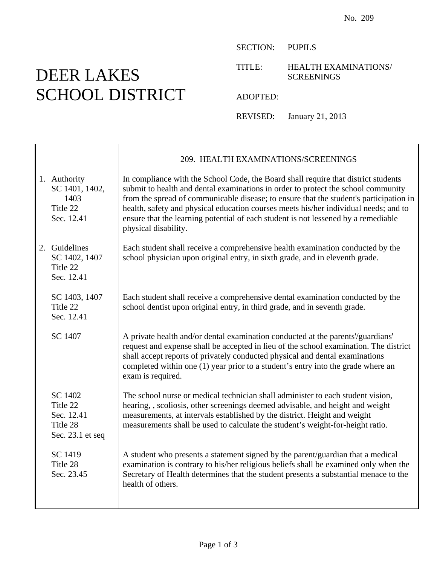## DEER LAKES SCHOOL DISTRICT

SECTION: PUPILS

TITLE: HEALTH EXAMINATIONS/ SCREENINGS

ADOPTED:

REVISED: January 21, 2013

|                                                                   | 209. HEALTH EXAMINATIONS/SCREENINGS                                                                                                                                                                                                                                                                                                                                                                                                                                     |
|-------------------------------------------------------------------|-------------------------------------------------------------------------------------------------------------------------------------------------------------------------------------------------------------------------------------------------------------------------------------------------------------------------------------------------------------------------------------------------------------------------------------------------------------------------|
| 1. Authority<br>SC 1401, 1402,<br>1403<br>Title 22<br>Sec. 12.41  | In compliance with the School Code, the Board shall require that district students<br>submit to health and dental examinations in order to protect the school community<br>from the spread of communicable disease; to ensure that the student's participation in<br>health, safety and physical education courses meets his/her individual needs; and to<br>ensure that the learning potential of each student is not lessened by a remediable<br>physical disability. |
| 2. Guidelines<br>SC 1402, 1407<br>Title 22<br>Sec. 12.41          | Each student shall receive a comprehensive health examination conducted by the<br>school physician upon original entry, in sixth grade, and in eleventh grade.                                                                                                                                                                                                                                                                                                          |
| SC 1403, 1407<br>Title 22<br>Sec. 12.41                           | Each student shall receive a comprehensive dental examination conducted by the<br>school dentist upon original entry, in third grade, and in seventh grade.                                                                                                                                                                                                                                                                                                             |
| SC 1407                                                           | A private health and/or dental examination conducted at the parents'/guardians'<br>request and expense shall be accepted in lieu of the school examination. The district<br>shall accept reports of privately conducted physical and dental examinations<br>completed within one (1) year prior to a student's entry into the grade where an<br>exam is required.                                                                                                       |
| SC 1402<br>Title 22<br>Sec. 12.41<br>Title 28<br>Sec. 23.1 et seq | The school nurse or medical technician shall administer to each student vision,<br>hearing, , scoliosis, other screenings deemed advisable, and height and weight<br>measurements, at intervals established by the district. Height and weight<br>measurements shall be used to calculate the student's weight-for-height ratio.                                                                                                                                        |
| SC 1419<br>Title 28<br>Sec. 23.45                                 | A student who presents a statement signed by the parent/guardian that a medical<br>examination is contrary to his/her religious beliefs shall be examined only when the<br>Secretary of Health determines that the student presents a substantial menace to the<br>health of others.                                                                                                                                                                                    |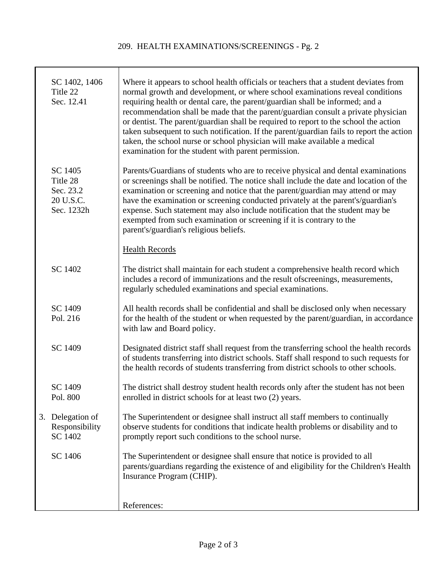## 209. HEALTH EXAMINATIONS/SCREENINGS - Pg. 2

|    | SC 1402, 1406<br>Title 22<br>Sec. 12.41                     | Where it appears to school health officials or teachers that a student deviates from<br>normal growth and development, or where school examinations reveal conditions<br>requiring health or dental care, the parent/guardian shall be informed; and a<br>recommendation shall be made that the parent/guardian consult a private physician<br>or dentist. The parent/guardian shall be required to report to the school the action<br>taken subsequent to such notification. If the parent/guardian fails to report the action<br>taken, the school nurse or school physician will make available a medical<br>examination for the student with parent permission. |
|----|-------------------------------------------------------------|---------------------------------------------------------------------------------------------------------------------------------------------------------------------------------------------------------------------------------------------------------------------------------------------------------------------------------------------------------------------------------------------------------------------------------------------------------------------------------------------------------------------------------------------------------------------------------------------------------------------------------------------------------------------|
|    | SC 1405<br>Title 28<br>Sec. 23.2<br>20 U.S.C.<br>Sec. 1232h | Parents/Guardians of students who are to receive physical and dental examinations<br>or screenings shall be notified. The notice shall include the date and location of the<br>examination or screening and notice that the parent/guardian may attend or may<br>have the examination or screening conducted privately at the parent's/guardian's<br>expense. Such statement may also include notification that the student may be<br>exempted from such examination or screening if it is contrary to the<br>parent's/guardian's religious beliefs.                                                                                                                |
|    |                                                             | <b>Health Records</b>                                                                                                                                                                                                                                                                                                                                                                                                                                                                                                                                                                                                                                               |
|    | SC 1402                                                     | The district shall maintain for each student a comprehensive health record which<br>includes a record of immunizations and the result of screenings, measurements,<br>regularly scheduled examinations and special examinations.                                                                                                                                                                                                                                                                                                                                                                                                                                    |
|    | SC 1409<br>Pol. 216                                         | All health records shall be confidential and shall be disclosed only when necessary<br>for the health of the student or when requested by the parent/guardian, in accordance<br>with law and Board policy.                                                                                                                                                                                                                                                                                                                                                                                                                                                          |
|    | SC 1409                                                     | Designated district staff shall request from the transferring school the health records<br>of students transferring into district schools. Staff shall respond to such requests for<br>the health records of students transferring from district schools to other schools.                                                                                                                                                                                                                                                                                                                                                                                          |
|    | SC 1409<br>Pol. 800                                         | The district shall destroy student health records only after the student has not been<br>enrolled in district schools for at least two (2) years.                                                                                                                                                                                                                                                                                                                                                                                                                                                                                                                   |
| 3. | Delegation of<br>Responsibility<br>SC 1402                  | The Superintendent or designee shall instruct all staff members to continually<br>observe students for conditions that indicate health problems or disability and to<br>promptly report such conditions to the school nurse.                                                                                                                                                                                                                                                                                                                                                                                                                                        |
|    | SC 1406                                                     | The Superintendent or designee shall ensure that notice is provided to all<br>parents/guardians regarding the existence of and eligibility for the Children's Health<br>Insurance Program (CHIP).                                                                                                                                                                                                                                                                                                                                                                                                                                                                   |
|    |                                                             | References:                                                                                                                                                                                                                                                                                                                                                                                                                                                                                                                                                                                                                                                         |